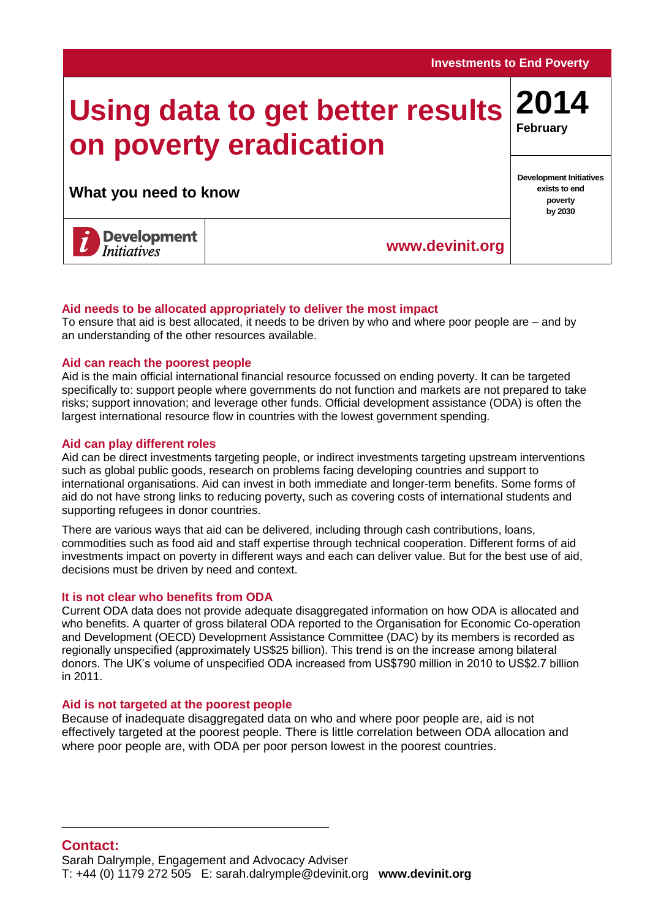# **Using data to get better results on poverty eradication**

**What you need to know**

**poverty by 2030**

**[www.devinit.org](http://www.devinit.org/)**

## **Aid needs to be allocated appropriately to deliver the most impact**

To ensure that aid is best allocated, it needs to be driven by who and where poor people are – and by an understanding of the other resources available.

## **Aid can reach the poorest people**

Aid is the main official international financial resource focussed on ending poverty. It can be targeted specifically to: support people where governments do not function and markets are not prepared to take risks; support innovation; and leverage other funds. Official development assistance (ODA) is often the largest international resource flow in countries with the lowest government spending.

## **Aid can play different roles**

Aid can be direct investments targeting people, or indirect investments targeting upstream interventions such as global public goods, research on problems facing developing countries and support to international organisations. Aid can invest in both immediate and longer-term benefits. Some forms of aid do not have strong links to reducing poverty, such as covering costs of international students and supporting refugees in donor countries.

There are various ways that aid can be delivered, including through cash contributions, loans, commodities such as food aid and staff expertise through technical cooperation. Different forms of aid investments impact on poverty in different ways and each can deliver value. But for the best use of aid, decisions must be driven by need and context.

## **It is not clear who benefits from ODA**

Current ODA data does not provide adequate disaggregated information on how ODA is allocated and who benefits. A quarter of gross bilateral ODA reported to the Organisation for Economic Co-operation and Development (OECD) Development Assistance Committee (DAC) by its members is recorded as regionally unspecified (approximately US\$25 billion). This trend is on the increase among bilateral donors. The UK's volume of unspecified ODA increased from US\$790 million in 2010 to US\$2.7 billion in 2011.

## **Aid is not targeted at the poorest people**

\_\_\_\_\_\_\_\_\_\_\_\_\_\_\_\_\_\_\_\_\_\_\_\_\_\_\_\_\_\_\_\_\_\_\_\_\_\_\_\_

Because of inadequate disaggregated data on who and where poor people are, aid is not effectively targeted at the poorest people. There is little correlation between ODA allocation and where poor people are, with ODA per poor person lowest in the poorest countries.

## **Investments to End Poverty**

**2014**

**February**

**Development Initiatives exists to end**